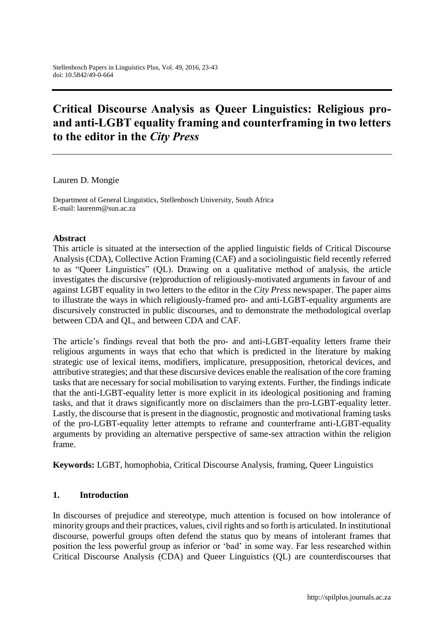# **Critical Discourse Analysis as Queer Linguistics: Religious proand anti-LGBT equality framing and counterframing in two letters to the editor in the** *City Press*

Lauren D. Mongie

Department of General Linguistics, Stellenbosch University, South Africa E-mail: [laurenm@sun.ac.za](mailto:laurenm@sun.ac.za)

#### **Abstract**

This article is situated at the intersection of the applied linguistic fields of Critical Discourse Analysis (CDA), Collective Action Framing (CAF) and a sociolinguistic field recently referred to as "Queer Linguistics" (QL). Drawing on a qualitative method of analysis, the article investigates the discursive (re)production of religiously-motivated arguments in favour of and against LGBT equality in two letters to the editor in the *City Press* newspaper. The paper aims to illustrate the ways in which religiously-framed pro- and anti-LGBT-equality arguments are discursively constructed in public discourses, and to demonstrate the methodological overlap between CDA and QL, and between CDA and CAF.

The article's findings reveal that both the pro- and anti-LGBT-equality letters frame their religious arguments in ways that echo that which is predicted in the literature by making strategic use of lexical items, modifiers, implicature, presupposition, rhetorical devices, and attributive strategies; and that these discursive devices enable the realisation of the core framing tasks that are necessary for social mobilisation to varying extents. Further, the findings indicate that the anti-LGBT-equality letter is more explicit in its ideological positioning and framing tasks, and that it draws significantly more on disclaimers than the pro-LGBT-equality letter. Lastly, the discourse that is present in the diagnostic, prognostic and motivational framing tasks of the pro-LGBT-equality letter attempts to reframe and counterframe anti-LGBT-equality arguments by providing an alternative perspective of same-sex attraction within the religion frame.

**Keywords:** LGBT, homophobia, Critical Discourse Analysis, framing, Queer Linguistics

## **1. Introduction**

In discourses of prejudice and stereotype, much attention is focused on how intolerance of minority groups and their practices, values, civil rights and so forth is articulated. In institutional discourse, powerful groups often defend the status quo by means of intolerant frames that position the less powerful group as inferior or 'bad' in some way. Far less researched within Critical Discourse Analysis (CDA) and Queer Linguistics (QL) are counterdiscourses that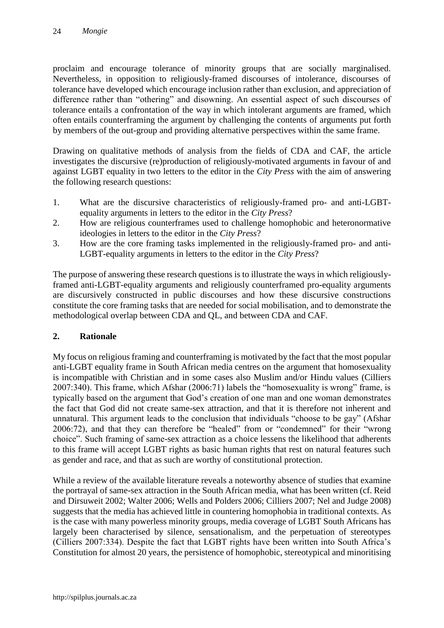proclaim and encourage tolerance of minority groups that are socially marginalised. Nevertheless, in opposition to religiously-framed discourses of intolerance, discourses of tolerance have developed which encourage inclusion rather than exclusion, and appreciation of difference rather than "othering" and disowning. An essential aspect of such discourses of tolerance entails a confrontation of the way in which intolerant arguments are framed, which often entails counterframing the argument by challenging the contents of arguments put forth by members of the out-group and providing alternative perspectives within the same frame.

Drawing on qualitative methods of analysis from the fields of CDA and CAF, the article investigates the discursive (re)production of religiously-motivated arguments in favour of and against LGBT equality in two letters to the editor in the *City Press* with the aim of answering the following research questions:

- 1. What are the discursive characteristics of religiously-framed pro- and anti-LGBTequality arguments in letters to the editor in the *City Press*?
- 2. How are religious counterframes used to challenge homophobic and heteronormative ideologies in letters to the editor in the *City Press*?
- 3. How are the core framing tasks implemented in the religiously-framed pro- and anti-LGBT-equality arguments in letters to the editor in the *City Press*?

The purpose of answering these research questions is to illustrate the ways in which religiouslyframed anti-LGBT-equality arguments and religiously counterframed pro-equality arguments are discursively constructed in public discourses and how these discursive constructions constitute the core framing tasks that are needed for social mobilisation, and to demonstrate the methodological overlap between CDA and QL, and between CDA and CAF.

## **2. Rationale**

My focus on religious framing and counterframing is motivated by the fact that the most popular anti-LGBT equality frame in South African media centres on the argument that homosexuality is incompatible with Christian and in some cases also Muslim and/or Hindu values (Cilliers 2007:340). This frame, which Afshar (2006:71) labels the "homosexuality is wrong" frame, is typically based on the argument that God's creation of one man and one woman demonstrates the fact that God did not create same-sex attraction, and that it is therefore not inherent and unnatural. This argument leads to the conclusion that individuals "choose to be gay" (Afshar 2006:72), and that they can therefore be "healed" from or "condemned" for their "wrong choice". Such framing of same-sex attraction as a choice lessens the likelihood that adherents to this frame will accept LGBT rights as basic human rights that rest on natural features such as gender and race, and that as such are worthy of constitutional protection.

While a review of the available literature reveals a noteworthy absence of studies that examine the portrayal of same-sex attraction in the South African media, what has been written (cf. Reid and Dirsuweit 2002; Walter 2006; Wells and Polders 2006; Cilliers 2007; Nel and Judge 2008) suggests that the media has achieved little in countering homophobia in traditional contexts. As is the case with many powerless minority groups, media coverage of LGBT South Africans has largely been characterised by silence, sensationalism, and the perpetuation of stereotypes (Cilliers 2007:334). Despite the fact that LGBT rights have been written into South Africa's Constitution for almost 20 years, the persistence of homophobic, stereotypical and minoritising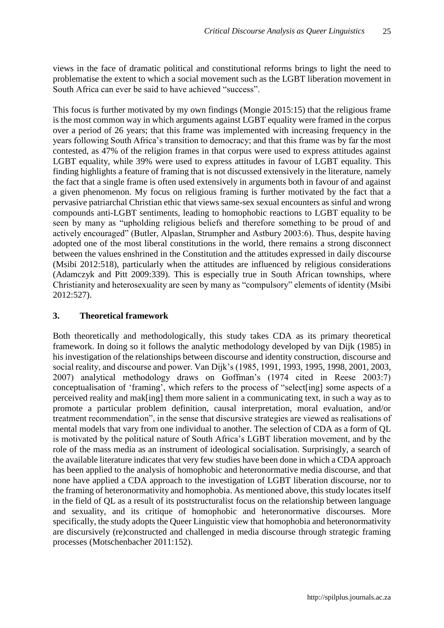views in the face of dramatic political and constitutional reforms brings to light the need to problematise the extent to which a social movement such as the LGBT liberation movement in South Africa can ever be said to have achieved "success".

This focus is further motivated by my own findings (Mongie 2015:15) that the religious frame is the most common way in which arguments against LGBT equality were framed in the corpus over a period of 26 years; that this frame was implemented with increasing frequency in the years following South Africa's transition to democracy; and that this frame was by far the most contested, as 47% of the religion frames in that corpus were used to express attitudes against LGBT equality, while 39% were used to express attitudes in favour of LGBT equality. This finding highlights a feature of framing that is not discussed extensively in the literature, namely the fact that a single frame is often used extensively in arguments both in favour of and against a given phenomenon. My focus on religious framing is further motivated by the fact that a pervasive patriarchal Christian ethic that views same-sex sexual encounters as sinful and wrong compounds anti-LGBT sentiments, leading to homophobic reactions to LGBT equality to be seen by many as "upholding religious beliefs and therefore something to be proud of and actively encouraged" (Butler, Alpaslan, Strumpher and Astbury 2003:6). Thus, despite having adopted one of the most liberal constitutions in the world, there remains a strong disconnect between the values enshrined in the Constitution and the attitudes expressed in daily discourse (Msibi 2012:518), particularly when the attitudes are influenced by religious considerations (Adamczyk and Pitt 2009:339). This is especially true in South African townships, where Christianity and heterosexuality are seen by many as "compulsory" elements of identity (Msibi 2012:527).

## **3. Theoretical framework**

Both theoretically and methodologically, this study takes CDA as its primary theoretical framework. In doing so it follows the analytic methodology developed by van Dijk (1985) in his investigation of the relationships between discourse and identity construction, discourse and social reality, and discourse and power. Van Dijk's (1985, 1991, 1993, 1995, 1998, 2001, 2003, 2007) analytical methodology draws on Goffman's (1974 cited in Reese 2003:7) conceptualisation of 'framing', which refers to the process of "select[ing] some aspects of a perceived reality and mak[ing] them more salient in a communicating text, in such a way as to promote a particular problem definition, causal interpretation, moral evaluation, and/or treatment recommendation", in the sense that discursive strategies are viewed as realisations of mental models that vary from one individual to another. The selection of CDA as a form of QL is motivated by the political nature of South Africa's LGBT liberation movement, and by the role of the mass media as an instrument of ideological socialisation. Surprisingly, a search of the available literature indicates that very few studies have been done in which a CDA approach has been applied to the analysis of homophobic and heteronormative media discourse, and that none have applied a CDA approach to the investigation of LGBT liberation discourse, nor to the framing of heteronormativity and homophobia. As mentioned above, this study locates itself in the field of QL as a result of its poststructuralist focus on the relationship between language and sexuality, and its critique of homophobic and heteronormative discourses. More specifically, the study adopts the Queer Linguistic view that homophobia and heteronormativity are discursively (re)constructed and challenged in media discourse through strategic framing processes (Motschenbacher 2011:152).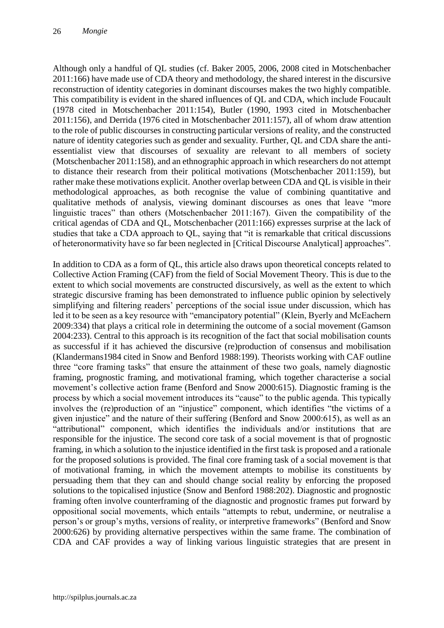Although only a handful of QL studies (cf. Baker 2005, 2006, 2008 cited in Motschenbacher 2011:166) have made use of CDA theory and methodology, the shared interest in the discursive reconstruction of identity categories in dominant discourses makes the two highly compatible. This compatibility is evident in the shared influences of QL and CDA, which include Foucault (1978 cited in Motschenbacher 2011:154), Butler (1990, 1993 cited in Motschenbacher 2011:156), and Derrida (1976 cited in Motschenbacher 2011:157), all of whom draw attention to the role of public discourses in constructing particular versions of reality, and the constructed nature of identity categories such as gender and sexuality. Further, QL and CDA share the antiessentialist view that discourses of sexuality are relevant to all members of society (Motschenbacher 2011:158), and an ethnographic approach in which researchers do not attempt to distance their research from their political motivations (Motschenbacher 2011:159), but rather make these motivations explicit. Another overlap between CDA and QL is visible in their methodological approaches, as both recognise the value of combining quantitative and qualitative methods of analysis, viewing dominant discourses as ones that leave "more linguistic traces" than others (Motschenbacher 2011:167). Given the compatibility of the critical agendas of CDA and QL, Motschenbacher (2011:166) expresses surprise at the lack of studies that take a CDA approach to QL, saying that "it is remarkable that critical discussions of heteronormativity have so far been neglected in [Critical Discourse Analytical] approaches".

In addition to CDA as a form of QL, this article also draws upon theoretical concepts related to Collective Action Framing (CAF) from the field of Social Movement Theory. This is due to the extent to which social movements are constructed discursively, as well as the extent to which strategic discursive framing has been demonstrated to influence public opinion by selectively simplifying and filtering readers' perceptions of the social issue under discussion, which has led it to be seen as a key resource with "emancipatory potential" (Klein, Byerly and McEachern 2009:334) that plays a critical role in determining the outcome of a social movement (Gamson 2004:233). Central to this approach is its recognition of the fact that social mobilisation counts as successful if it has achieved the discursive (re)production of consensus and mobilisation (Klandermans1984 cited in Snow and Benford 1988:199). Theorists working with CAF outline three "core framing tasks" that ensure the attainment of these two goals, namely diagnostic framing, prognostic framing, and motivational framing, which together characterise a social movement's collective action frame (Benford and Snow 2000:615). Diagnostic framing is the process by which a social movement introduces its "cause" to the public agenda. This typically involves the (re)production of an "injustice" component, which identifies "the victims of a given injustice" and the nature of their suffering (Benford and Snow 2000:615), as well as an "attributional" component, which identifies the individuals and/or institutions that are responsible for the injustice. The second core task of a social movement is that of prognostic framing, in which a solution to the injustice identified in the first task is proposed and a rationale for the proposed solutions is provided. The final core framing task of a social movement is that of motivational framing, in which the movement attempts to mobilise its constituents by persuading them that they can and should change social reality by enforcing the proposed solutions to the topicalised injustice (Snow and Benford 1988:202). Diagnostic and prognostic framing often involve counterframing of the diagnostic and prognostic frames put forward by oppositional social movements, which entails "attempts to rebut, undermine, or neutralise a person's or group's myths, versions of reality, or interpretive frameworks" (Benford and Snow 2000:626) by providing alternative perspectives within the same frame. The combination of CDA and CAF provides a way of linking various linguistic strategies that are present in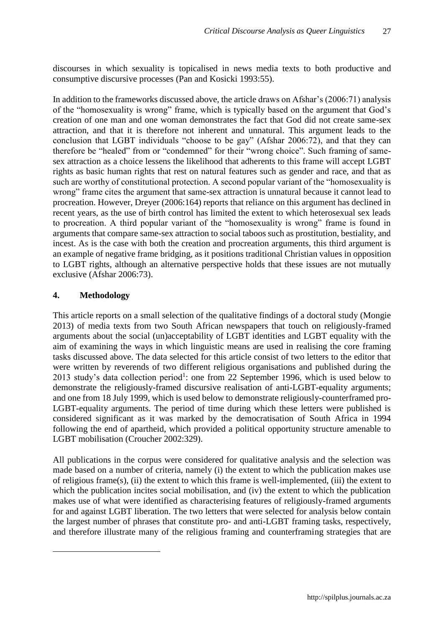discourses in which sexuality is topicalised in news media texts to both productive and consumptive discursive processes (Pan and Kosicki 1993:55).

In addition to the frameworks discussed above, the article draws on Afshar's (2006:71) analysis of the "homosexuality is wrong" frame, which is typically based on the argument that God's creation of one man and one woman demonstrates the fact that God did not create same-sex attraction, and that it is therefore not inherent and unnatural. This argument leads to the conclusion that LGBT individuals "choose to be gay" (Afshar 2006:72), and that they can therefore be "healed" from or "condemned" for their "wrong choice". Such framing of samesex attraction as a choice lessens the likelihood that adherents to this frame will accept LGBT rights as basic human rights that rest on natural features such as gender and race, and that as such are worthy of constitutional protection. A second popular variant of the "homosexuality is wrong" frame cites the argument that same-sex attraction is unnatural because it cannot lead to procreation. However, Dreyer (2006:164) reports that reliance on this argument has declined in recent years, as the use of birth control has limited the extent to which heterosexual sex leads to procreation. A third popular variant of the "homosexuality is wrong" frame is found in arguments that compare same-sex attraction to social taboos such as prostitution, bestiality, and incest. As is the case with both the creation and procreation arguments, this third argument is an example of negative frame bridging, as it positions traditional Christian values in opposition to LGBT rights, although an alternative perspective holds that these issues are not mutually exclusive (Afshar 2006:73).

## **4. Methodology**

 $\overline{a}$ 

This article reports on a small selection of the qualitative findings of a doctoral study (Mongie 2013) of media texts from two South African newspapers that touch on religiously-framed arguments about the social (un)acceptability of LGBT identities and LGBT equality with the aim of examining the ways in which linguistic means are used in realising the core framing tasks discussed above. The data selected for this article consist of two letters to the editor that were written by reverends of two different religious organisations and published during the 2013 study's data collection period<sup>1</sup>: one from 22 September 1996, which is used below to demonstrate the religiously-framed discursive realisation of anti-LGBT-equality arguments; and one from 18 July 1999, which is used below to demonstrate religiously-counterframed pro-LGBT-equality arguments. The period of time during which these letters were published is considered significant as it was marked by the democratisation of South Africa in 1994 following the end of apartheid, which provided a political opportunity structure amenable to LGBT mobilisation (Croucher 2002:329).

All publications in the corpus were considered for qualitative analysis and the selection was made based on a number of criteria, namely (i) the extent to which the publication makes use of religious frame(s), (ii) the extent to which this frame is well-implemented, (iii) the extent to which the publication incites social mobilisation, and (iv) the extent to which the publication makes use of what were identified as characterising features of religiously-framed arguments for and against LGBT liberation. The two letters that were selected for analysis below contain the largest number of phrases that constitute pro- and anti-LGBT framing tasks, respectively, and therefore illustrate many of the religious framing and counterframing strategies that are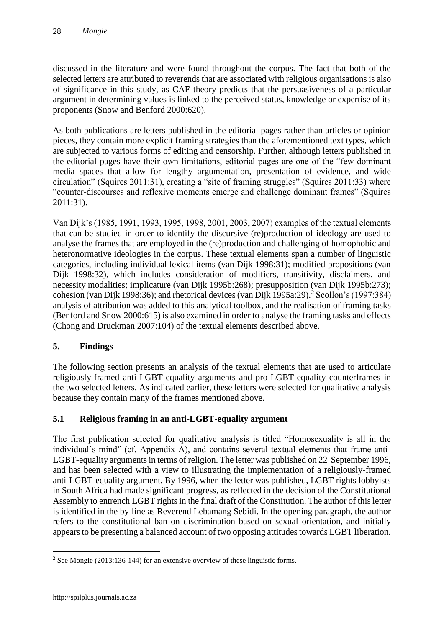discussed in the literature and were found throughout the corpus. The fact that both of the selected letters are attributed to reverends that are associated with religious organisations is also of significance in this study, as CAF theory predicts that the persuasiveness of a particular argument in determining values is linked to the perceived status, knowledge or expertise of its proponents (Snow and Benford 2000:620).

As both publications are letters published in the editorial pages rather than articles or opinion pieces, they contain more explicit framing strategies than the aforementioned text types, which are subjected to various forms of editing and censorship. Further, although letters published in the editorial pages have their own limitations, editorial pages are one of the "few dominant media spaces that allow for lengthy argumentation, presentation of evidence, and wide circulation" (Squires 2011:31), creating a "site of framing struggles" (Squires 2011:33) where "counter-discourses and reflexive moments emerge and challenge dominant frames" (Squires 2011:31).

Van Dijk's (1985, 1991, 1993, 1995, 1998, 2001, 2003, 2007) examples of the textual elements that can be studied in order to identify the discursive (re)production of ideology are used to analyse the frames that are employed in the (re)production and challenging of homophobic and heteronormative ideologies in the corpus. These textual elements span a number of linguistic categories, including individual lexical items (van Dijk 1998:31); modified propositions (van Dijk 1998:32), which includes consideration of modifiers, transitivity, disclaimers, and necessity modalities; implicature (van Dijk 1995b:268); presupposition (van Dijk 1995b:273); cohesion (van Dijk 1998:36); and rhetorical devices (van Dijk 1995a:29).<sup>2</sup> Scollon's (1997:384) analysis of attribution was added to this analytical toolbox, and the realisation of framing tasks (Benford and Snow 2000:615) is also examined in order to analyse the framing tasks and effects (Chong and Druckman 2007:104) of the textual elements described above.

## **5. Findings**

The following section presents an analysis of the textual elements that are used to articulate religiously-framed anti-LGBT-equality arguments and pro-LGBT-equality counterframes in the two selected letters. As indicated earlier, these letters were selected for qualitative analysis because they contain many of the frames mentioned above.

# **5.1 Religious framing in an anti-LGBT-equality argument**

The first publication selected for qualitative analysis is titled "Homosexuality is all in the individual's mind" (cf. Appendix A), and contains several textual elements that frame anti-LGBT-equality arguments in terms of religion. The letter was published on 22 September 1996, and has been selected with a view to illustrating the implementation of a religiously-framed anti-LGBT-equality argument. By 1996, when the letter was published, LGBT rights lobbyists in South Africa had made significant progress, as reflected in the decision of the Constitutional Assembly to entrench LGBT rights in the final draft of the Constitution. The author of this letter is identified in the by-line as Reverend Lebamang Sebidi. In the opening paragraph, the author refers to the constitutional ban on discrimination based on sexual orientation, and initially appears to be presenting a balanced account of two opposing attitudes towards LGBT liberation.

 $\overline{a}$ 

<sup>&</sup>lt;sup>2</sup> See Mongie (2013:136-144) for an extensive overview of these linguistic forms.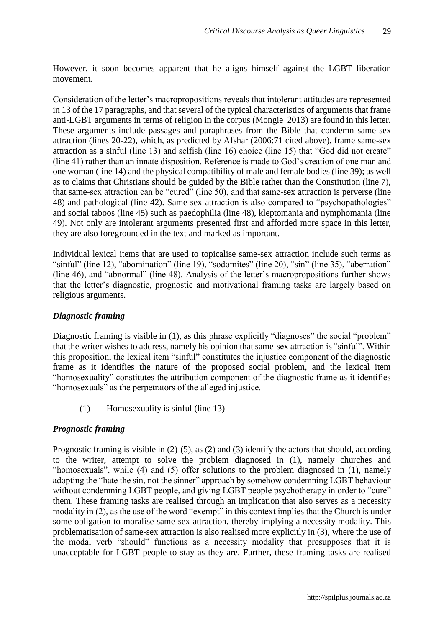However, it soon becomes apparent that he aligns himself against the LGBT liberation movement.

Consideration of the letter's macropropositions reveals that intolerant attitudes are represented in 13 of the 17 paragraphs, and that several of the typical characteristics of arguments that frame anti-LGBT arguments in terms of religion in the corpus (Mongie 2013) are found in this letter. These arguments include passages and paraphrases from the Bible that condemn same-sex attraction (lines 20-22), which, as predicted by Afshar (2006:71 cited above), frame same-sex attraction as a sinful (line 13) and selfish (line 16) choice (line 15) that "God did not create" (line 41) rather than an innate disposition. Reference is made to God's creation of one man and one woman (line 14) and the physical compatibility of male and female bodies (line 39); as well as to claims that Christians should be guided by the Bible rather than the Constitution (line 7), that same-sex attraction can be "cured" (line 50), and that same-sex attraction is perverse (line 48) and pathological (line 42). Same-sex attraction is also compared to "psychopathologies" and social taboos (line 45) such as paedophilia (line 48), kleptomania and nymphomania (line 49). Not only are intolerant arguments presented first and afforded more space in this letter, they are also foregrounded in the text and marked as important.

Individual lexical items that are used to topicalise same-sex attraction include such terms as "sinful" (line 12), "abomination" (line 19), "sodomites" (line 20), "sin" (line 35), "aberration" (line 46), and "abnormal" (line 48). Analysis of the letter's macropropositions further shows that the letter's diagnostic, prognostic and motivational framing tasks are largely based on religious arguments.

### *Diagnostic framing*

Diagnostic framing is visible in (1), as this phrase explicitly "diagnoses" the social "problem" that the writer wishes to address, namely his opinion that same-sex attraction is "sinful". Within this proposition, the lexical item "sinful" constitutes the injustice component of the diagnostic frame as it identifies the nature of the proposed social problem, and the lexical item "homosexuality" constitutes the attribution component of the diagnostic frame as it identifies "homosexuals" as the perpetrators of the alleged injustice.

(1) Homosexuality is sinful (line 13)

## *Prognostic framing*

Prognostic framing is visible in (2)-(5), as (2) and (3) identify the actors that should, according to the writer, attempt to solve the problem diagnosed in (1), namely churches and "homosexuals", while (4) and (5) offer solutions to the problem diagnosed in (1), namely adopting the "hate the sin, not the sinner" approach by somehow condemning LGBT behaviour without condemning LGBT people, and giving LGBT people psychotherapy in order to "cure" them. These framing tasks are realised through an implication that also serves as a necessity modality in (2), as the use of the word "exempt" in this context implies that the Church is under some obligation to moralise same-sex attraction, thereby implying a necessity modality. This problematisation of same-sex attraction is also realised more explicitly in (3), where the use of the modal verb "should" functions as a necessity modality that presupposes that it is unacceptable for LGBT people to stay as they are. Further, these framing tasks are realised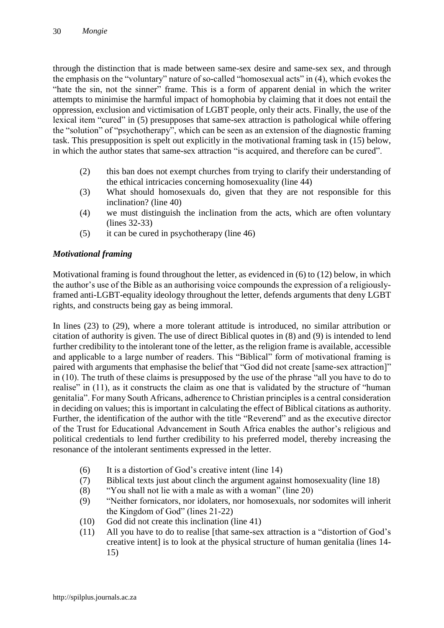through the distinction that is made between same-sex desire and same-sex sex, and through the emphasis on the "voluntary" nature of so-called "homosexual acts" in (4), which evokes the "hate the sin, not the sinner" frame. This is a form of apparent denial in which the writer attempts to minimise the harmful impact of homophobia by claiming that it does not entail the oppression, exclusion and victimisation of LGBT people, only their acts. Finally, the use of the lexical item "cured" in (5) presupposes that same-sex attraction is pathological while offering the "solution" of "psychotherapy", which can be seen as an extension of the diagnostic framing task. This presupposition is spelt out explicitly in the motivational framing task in (15) below, in which the author states that same-sex attraction "is acquired, and therefore can be cured".

- (2) this ban does not exempt churches from trying to clarify their understanding of the ethical intricacies concerning homosexuality (line 44)
- (3) What should homosexuals do, given that they are not responsible for this inclination? (line 40)
- (4) we must distinguish the inclination from the acts, which are often voluntary (lines 32-33)
- (5) it can be cured in psychotherapy (line 46)

## *Motivational framing*

Motivational framing is found throughout the letter, as evidenced in (6) to (12) below, in which the author's use of the Bible as an authorising voice compounds the expression of a religiouslyframed anti-LGBT-equality ideology throughout the letter, defends arguments that deny LGBT rights, and constructs being gay as being immoral.

In lines (23) to (29), where a more tolerant attitude is introduced, no similar attribution or citation of authority is given. The use of direct Biblical quotes in (8) and (9) is intended to lend further credibility to the intolerant tone of the letter, as the religion frame is available, accessible and applicable to a large number of readers. This "Biblical" form of motivational framing is paired with arguments that emphasise the belief that "God did not create [same-sex attraction]" in (10). The truth of these claims is presupposed by the use of the phrase "all you have to do to realise" in (11), as it constructs the claim as one that is validated by the structure of "human" genitalia". For many South Africans, adherence to Christian principles is a central consideration in deciding on values; this is important in calculating the effect of Biblical citations as authority. Further, the identification of the author with the title "Reverend" and as the executive director of the Trust for Educational Advancement in South Africa enables the author's religious and political credentials to lend further credibility to his preferred model, thereby increasing the resonance of the intolerant sentiments expressed in the letter.

- (6) It is a distortion of God's creative intent (line 14)
- (7) Biblical texts just about clinch the argument against homosexuality (line 18)
- (8) "You shall not lie with a male as with a woman" (line 20)
- (9) "Neither fornicators, nor idolaters, nor homosexuals, nor sodomites will inherit the Kingdom of God" (lines 21-22)
- (10) God did not create this inclination (line 41)
- (11) All you have to do to realise [that same-sex attraction is a "distortion of God's creative intent] is to look at the physical structure of human genitalia (lines 14- 15)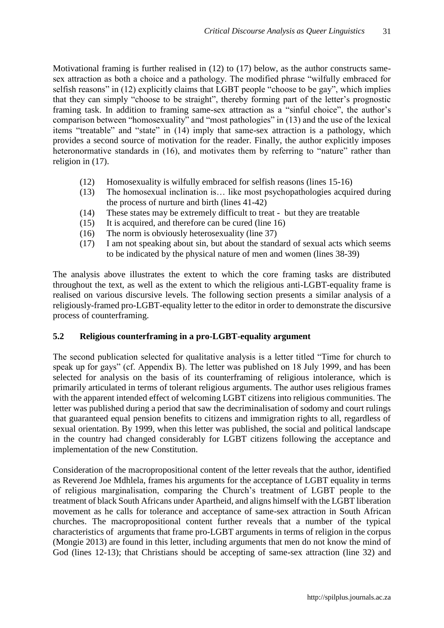Motivational framing is further realised in (12) to (17) below, as the author constructs samesex attraction as both a choice and a pathology. The modified phrase "wilfully embraced for selfish reasons" in (12) explicitly claims that LGBT people "choose to be gay", which implies that they can simply "choose to be straight", thereby forming part of the letter's prognostic framing task. In addition to framing same-sex attraction as a "sinful choice", the author's comparison between "homosexuality" and "most pathologies" in (13) and the use of the lexical items "treatable" and "state" in (14) imply that same-sex attraction is a pathology, which provides a second source of motivation for the reader. Finally, the author explicitly imposes heteronormative standards in (16), and motivates them by referring to "nature" rather than religion in (17).

- (12) Homosexuality is wilfully embraced for selfish reasons (lines 15-16)
- (13) The homosexual inclination is… like most psychopathologies acquired during the process of nurture and birth (lines 41-42)
- (14) These states may be extremely difficult to treat but they are treatable
- (15) It is acquired, and therefore can be cured (line 16)
- (16) The norm is obviously heterosexuality (line 37)
- (17) I am not speaking about sin, but about the standard of sexual acts which seems to be indicated by the physical nature of men and women (lines 38-39)

The analysis above illustrates the extent to which the core framing tasks are distributed throughout the text, as well as the extent to which the religious anti-LGBT-equality frame is realised on various discursive levels. The following section presents a similar analysis of a religiously-framed pro-LGBT-equality letter to the editor in order to demonstrate the discursive process of counterframing.

### **5.2 Religious counterframing in a pro-LGBT-equality argument**

The second publication selected for qualitative analysis is a letter titled "Time for church to speak up for gays" (cf. Appendix B). The letter was published on 18 July 1999, and has been selected for analysis on the basis of its counterframing of religious intolerance, which is primarily articulated in terms of tolerant religious arguments. The author uses religious frames with the apparent intended effect of welcoming LGBT citizens into religious communities. The letter was published during a period that saw the decriminalisation of sodomy and court rulings that guaranteed equal pension benefits to citizens and immigration rights to all, regardless of sexual orientation. By 1999, when this letter was published, the social and political landscape in the country had changed considerably for LGBT citizens following the acceptance and implementation of the new Constitution.

Consideration of the macropropositional content of the letter reveals that the author, identified as Reverend Joe Mdhlela, frames his arguments for the acceptance of LGBT equality in terms of religious marginalisation, comparing the Church's treatment of LGBT people to the treatment of black South Africans under Apartheid, and aligns himself with the LGBT liberation movement as he calls for tolerance and acceptance of same-sex attraction in South African churches. The macropropositional content further reveals that a number of the typical characteristics of arguments that frame pro-LGBT arguments in terms of religion in the corpus (Mongie 2013) are found in this letter, including arguments that men do not know the mind of God (lines 12-13); that Christians should be accepting of same-sex attraction (line 32) and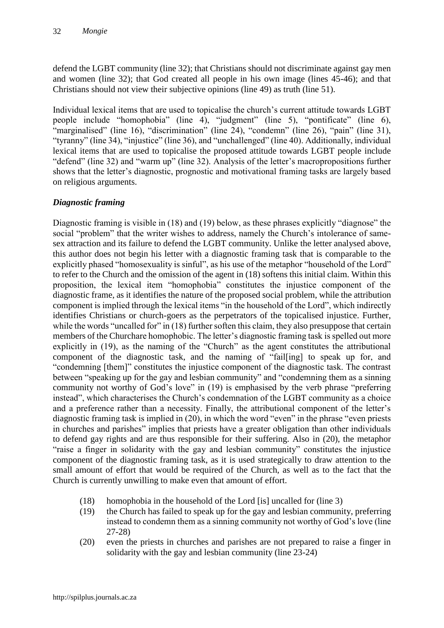defend the LGBT community (line 32); that Christians should not discriminate against gay men and women (line 32); that God created all people in his own image (lines 45-46); and that Christians should not view their subjective opinions (line 49) as truth (line 51).

Individual lexical items that are used to topicalise the church's current attitude towards LGBT people include "homophobia" (line 4), "judgment" (line 5), "pontificate" (line 6), "marginalised" (line 16), "discrimination" (line 24), "condemn" (line 26), "pain" (line 31), "tyranny" (line 34), "injustice" (line 36), and "unchallenged" (line 40). Additionally, individual lexical items that are used to topicalise the proposed attitude towards LGBT people include "defend" (line 32) and "warm up" (line 32). Analysis of the letter's macropropositions further shows that the letter's diagnostic, prognostic and motivational framing tasks are largely based on religious arguments.

# *Diagnostic framing*

Diagnostic framing is visible in (18) and (19) below, as these phrases explicitly "diagnose" the social "problem" that the writer wishes to address, namely the Church's intolerance of samesex attraction and its failure to defend the LGBT community. Unlike the letter analysed above, this author does not begin his letter with a diagnostic framing task that is comparable to the explicitly phased "homosexuality is sinful", as his use of the metaphor "household of the Lord" to refer to the Church and the omission of the agent in (18) softens this initial claim. Within this proposition, the lexical item "homophobia" constitutes the injustice component of the diagnostic frame, as it identifies the nature of the proposed social problem, while the attribution component is implied through the lexical items "in the household of the Lord", which indirectly identifies Christians or church-goers as the perpetrators of the topicalised injustice. Further, while the words "uncalled for" in (18) further soften this claim, they also presuppose that certain members of the Churchare homophobic. The letter's diagnostic framing task is spelled out more explicitly in (19), as the naming of the "Church" as the agent constitutes the attributional component of the diagnostic task, and the naming of "fail[ing] to speak up for, and "condemning [them]" constitutes the injustice component of the diagnostic task. The contrast between "speaking up for the gay and lesbian community" and "condemning them as a sinning community not worthy of God's love" in (19) is emphasised by the verb phrase "preferring instead", which characterises the Church's condemnation of the LGBT community as a choice and a preference rather than a necessity. Finally, the attributional component of the letter's diagnostic framing task is implied in (20), in which the word "even" in the phrase "even priests in churches and parishes" implies that priests have a greater obligation than other individuals to defend gay rights and are thus responsible for their suffering. Also in (20), the metaphor "raise a finger in solidarity with the gay and lesbian community" constitutes the injustice component of the diagnostic framing task, as it is used strategically to draw attention to the small amount of effort that would be required of the Church, as well as to the fact that the Church is currently unwilling to make even that amount of effort.

- (18) homophobia in the household of the Lord [is] uncalled for (line 3)
- (19) the Church has failed to speak up for the gay and lesbian community, preferring instead to condemn them as a sinning community not worthy of God's love (line 27-28)
- (20) even the priests in churches and parishes are not prepared to raise a finger in solidarity with the gay and lesbian community (line 23-24)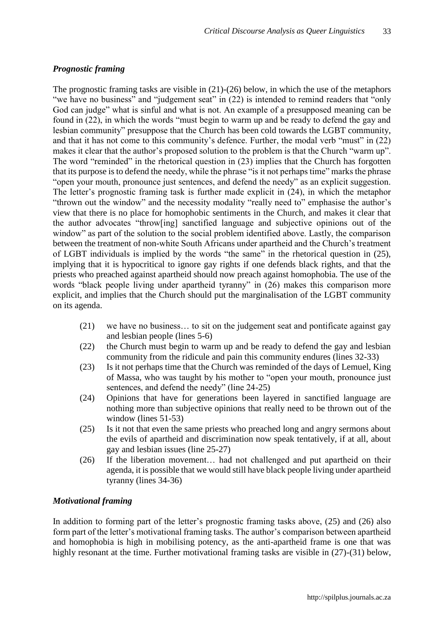## *Prognostic framing*

The prognostic framing tasks are visible in (21)-(26) below, in which the use of the metaphors "we have no business" and "judgement seat" in (22) is intended to remind readers that "only God can judge" what is sinful and what is not. An example of a presupposed meaning can be found in (22), in which the words "must begin to warm up and be ready to defend the gay and lesbian community" presuppose that the Church has been cold towards the LGBT community, and that it has not come to this community's defence. Further, the modal verb "must" in (22) makes it clear that the author's proposed solution to the problem is that the Church "warm up". The word "reminded" in the rhetorical question in (23) implies that the Church has forgotten that its purpose is to defend the needy, while the phrase "is it not perhaps time" marks the phrase "open your mouth, pronounce just sentences, and defend the needy" as an explicit suggestion. The letter's prognostic framing task is further made explicit in (24), in which the metaphor "thrown out the window" and the necessity modality "really need to" emphasise the author's view that there is no place for homophobic sentiments in the Church, and makes it clear that the author advocates "throw[ing] sanctified language and subjective opinions out of the window" as part of the solution to the social problem identified above. Lastly, the comparison between the treatment of non-white South Africans under apartheid and the Church's treatment of LGBT individuals is implied by the words "the same" in the rhetorical question in (25), implying that it is hypocritical to ignore gay rights if one defends black rights, and that the priests who preached against apartheid should now preach against homophobia. The use of the words "black people living under apartheid tyranny" in (26) makes this comparison more explicit, and implies that the Church should put the marginalisation of the LGBT community on its agenda.

- (21) we have no business… to sit on the judgement seat and pontificate against gay and lesbian people (lines 5-6)
- (22) the Church must begin to warm up and be ready to defend the gay and lesbian community from the ridicule and pain this community endures (lines 32-33)
- (23) Is it not perhaps time that the Church was reminded of the days of Lemuel, King of Massa, who was taught by his mother to "open your mouth, pronounce just sentences, and defend the needy" (line 24-25)
- (24) Opinions that have for generations been layered in sanctified language are nothing more than subjective opinions that really need to be thrown out of the window (lines 51-53)
- (25) Is it not that even the same priests who preached long and angry sermons about the evils of apartheid and discrimination now speak tentatively, if at all, about gay and lesbian issues (line 25-27)
- (26) If the liberation movement… had not challenged and put apartheid on their agenda, it is possible that we would still have black people living under apartheid tyranny (lines 34-36)

#### *Motivational framing*

In addition to forming part of the letter's prognostic framing tasks above, (25) and (26) also form part of the letter's motivational framing tasks. The author's comparison between apartheid and homophobia is high in mobilising potency, as the anti-apartheid frame is one that was highly resonant at the time. Further motivational framing tasks are visible in (27)-(31) below,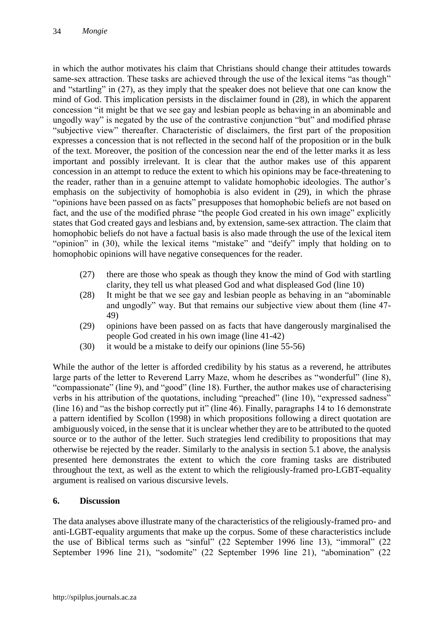in which the author motivates his claim that Christians should change their attitudes towards same-sex attraction. These tasks are achieved through the use of the lexical items "as though" and "startling" in (27), as they imply that the speaker does not believe that one can know the mind of God. This implication persists in the disclaimer found in (28), in which the apparent concession "it might be that we see gay and lesbian people as behaving in an abominable and ungodly way" is negated by the use of the contrastive conjunction "but" and modified phrase "subjective view" thereafter. Characteristic of disclaimers, the first part of the proposition expresses a concession that is not reflected in the second half of the proposition or in the bulk of the text. Moreover, the position of the concession near the end of the letter marks it as less important and possibly irrelevant. It is clear that the author makes use of this apparent concession in an attempt to reduce the extent to which his opinions may be face-threatening to the reader, rather than in a genuine attempt to validate homophobic ideologies. The author's emphasis on the subjectivity of homophobia is also evident in (29), in which the phrase "opinions have been passed on as facts" presupposes that homophobic beliefs are not based on fact, and the use of the modified phrase "the people God created in his own image" explicitly states that God created gays and lesbians and, by extension, same-sex attraction. The claim that homophobic beliefs do not have a factual basis is also made through the use of the lexical item "opinion" in (30), while the lexical items "mistake" and "deify" imply that holding on to homophobic opinions will have negative consequences for the reader.

- (27) there are those who speak as though they know the mind of God with startling clarity, they tell us what pleased God and what displeased God (line 10)
- (28) It might be that we see gay and lesbian people as behaving in an "abominable and ungodly" way. But that remains our subjective view about them (line 47- 49)
- (29) opinions have been passed on as facts that have dangerously marginalised the people God created in his own image (line 41-42)
- (30) it would be a mistake to deify our opinions (line 55-56)

While the author of the letter is afforded credibility by his status as a reverend, he attributes large parts of the letter to Reverend Larry Maze, whom he describes as "wonderful" (line 8), "compassionate" (line 9), and "good" (line 18). Further, the author makes use of characterising verbs in his attribution of the quotations, including "preached" (line 10), "expressed sadness" (line 16) and "as the bishop correctly put it" (line 46). Finally, paragraphs 14 to 16 demonstrate a pattern identified by Scollon (1998) in which propositions following a direct quotation are ambiguously voiced, in the sense that it is unclear whether they are to be attributed to the quoted source or to the author of the letter. Such strategies lend credibility to propositions that may otherwise be rejected by the reader. Similarly to the analysis in section 5.1 above, the analysis presented here demonstrates the extent to which the core framing tasks are distributed throughout the text, as well as the extent to which the religiously-framed pro-LGBT-equality argument is realised on various discursive levels.

### **6. Discussion**

The data analyses above illustrate many of the characteristics of the religiously-framed pro- and anti-LGBT-equality arguments that make up the corpus. Some of these characteristics include the use of Biblical terms such as "sinful" (22 September 1996 line 13), "immoral" (22 September 1996 line 21), "sodomite" (22 September 1996 line 21), "abomination" (22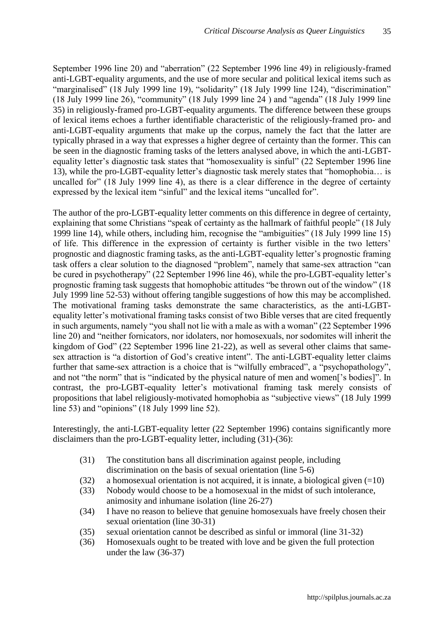September 1996 line 20) and "aberration" (22 September 1996 line 49) in religiously-framed anti-LGBT-equality arguments, and the use of more secular and political lexical items such as "marginalised" (18 July 1999 line 19), "solidarity" (18 July 1999 line 124), "discrimination" (18 July 1999 line 26), "community" (18 July 1999 line 24 ) and "agenda" (18 July 1999 line 35) in religiously-framed pro-LGBT-equality arguments. The difference between these groups of lexical items echoes a further identifiable characteristic of the religiously-framed pro- and anti-LGBT-equality arguments that make up the corpus, namely the fact that the latter are typically phrased in a way that expresses a higher degree of certainty than the former. This can be seen in the diagnostic framing tasks of the letters analysed above, in which the anti-LGBTequality letter's diagnostic task states that "homosexuality is sinful" (22 September 1996 line 13), while the pro-LGBT-equality letter's diagnostic task merely states that "homophobia… is uncalled for" (18 July 1999 line 4), as there is a clear difference in the degree of certainty expressed by the lexical item "sinful" and the lexical items "uncalled for".

The author of the pro-LGBT-equality letter comments on this difference in degree of certainty, explaining that some Christians "speak of certainty as the hallmark of faithful people" (18 July 1999 line 14), while others, including him, recognise the "ambiguities" (18 July 1999 line 15) of life. This difference in the expression of certainty is further visible in the two letters' prognostic and diagnostic framing tasks, as the anti-LGBT-equality letter's prognostic framing task offers a clear solution to the diagnosed "problem", namely that same-sex attraction "can be cured in psychotherapy" (22 September 1996 line 46), while the pro-LGBT-equality letter's prognostic framing task suggests that homophobic attitudes "be thrown out of the window" (18 July 1999 line 52-53) without offering tangible suggestions of how this may be accomplished. The motivational framing tasks demonstrate the same characteristics, as the anti-LGBTequality letter's motivational framing tasks consist of two Bible verses that are cited frequently in such arguments, namely "you shall not lie with a male as with a woman" (22 September 1996 line 20) and "neither fornicators, nor idolaters, nor homosexuals, nor sodomites will inherit the kingdom of God" (22 September 1996 line 21-22), as well as several other claims that samesex attraction is "a distortion of God's creative intent". The anti-LGBT-equality letter claims further that same-sex attraction is a choice that is "wilfully embraced", a "psychopathology", and not "the norm" that is "indicated by the physical nature of men and women['s bodies]". In contrast, the pro-LGBT-equality letter's motivational framing task merely consists of propositions that label religiously-motivated homophobia as "subjective views" (18 July 1999 line 53) and "opinions" (18 July 1999 line 52).

Interestingly, the anti-LGBT-equality letter (22 September 1996) contains significantly more disclaimers than the pro-LGBT-equality letter, including (31)-(36):

- (31) The constitution bans all discrimination against people, including discrimination on the basis of sexual orientation (line 5-6)
- (32) a homosexual orientation is not acquired, it is innate, a biological given  $(=10)$
- (33) Nobody would choose to be a homosexual in the midst of such intolerance, animosity and inhumane isolation (line 26-27)
- (34) I have no reason to believe that genuine homosexuals have freely chosen their sexual orientation (line 30-31)
- (35) sexual orientation cannot be described as sinful or immoral (line 31-32)
- (36) Homosexuals ought to be treated with love and be given the full protection under the law (36-37)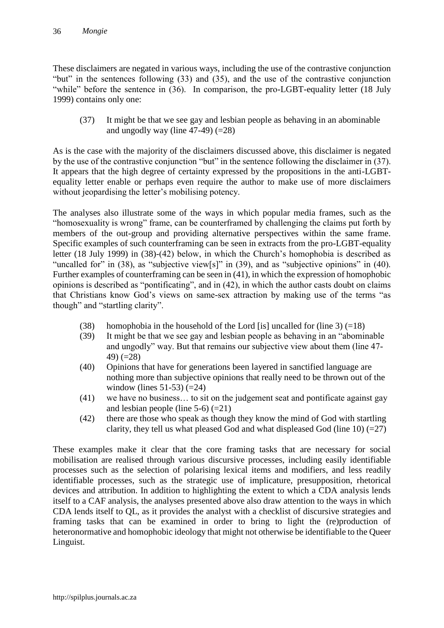These disclaimers are negated in various ways, including the use of the contrastive conjunction "but" in the sentences following (33) and (35), and the use of the contrastive conjunction "while" before the sentence in (36). In comparison, the pro-LGBT-equality letter (18 July 1999) contains only one:

(37) It might be that we see gay and lesbian people as behaving in an abominable and ungodly way (line  $47-49$ ) (=28)

As is the case with the majority of the disclaimers discussed above, this disclaimer is negated by the use of the contrastive conjunction "but" in the sentence following the disclaimer in (37). It appears that the high degree of certainty expressed by the propositions in the anti-LGBTequality letter enable or perhaps even require the author to make use of more disclaimers without jeopardising the letter's mobilising potency.

The analyses also illustrate some of the ways in which popular media frames, such as the "homosexuality is wrong" frame, can be counterframed by challenging the claims put forth by members of the out-group and providing alternative perspectives within the same frame. Specific examples of such counterframing can be seen in extracts from the pro-LGBT-equality letter (18 July 1999) in (38)-(42) below, in which the Church's homophobia is described as "uncalled for" in (38), as "subjective view[s]" in (39), and as "subjective opinions" in (40). Further examples of counterframing can be seen in (41), in which the expression of homophobic opinions is described as "pontificating", and in (42), in which the author casts doubt on claims that Christians know God's views on same-sex attraction by making use of the terms "as though" and "startling clarity".

- (38) homophobia in the household of the Lord [is] uncalled for (line 3)  $(=18)$
- (39) It might be that we see gay and lesbian people as behaving in an "abominable and ungodly" way. But that remains our subjective view about them (line 47- 49) (=28)
- (40) Opinions that have for generations been layered in sanctified language are nothing more than subjective opinions that really need to be thrown out of the window (lines  $51-53$ ) (=24)
- (41) we have no business… to sit on the judgement seat and pontificate against gay and lesbian people (line  $5-6$ ) (=21)
- (42) there are those who speak as though they know the mind of God with startling clarity, they tell us what pleased God and what displeased God (line 10)  $(=27)$

These examples make it clear that the core framing tasks that are necessary for social mobilisation are realised through various discursive processes, including easily identifiable processes such as the selection of polarising lexical items and modifiers, and less readily identifiable processes, such as the strategic use of implicature, presupposition, rhetorical devices and attribution. In addition to highlighting the extent to which a CDA analysis lends itself to a CAF analysis, the analyses presented above also draw attention to the ways in which CDA lends itself to QL, as it provides the analyst with a checklist of discursive strategies and framing tasks that can be examined in order to bring to light the (re)production of heteronormative and homophobic ideology that might not otherwise be identifiable to the Queer Linguist.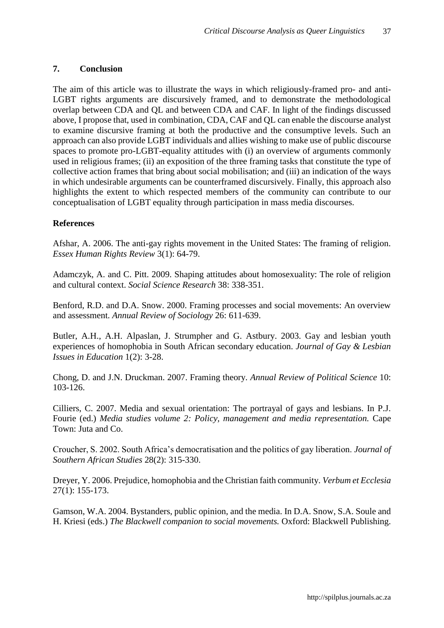## **7. Conclusion**

The aim of this article was to illustrate the ways in which religiously-framed pro- and anti-LGBT rights arguments are discursively framed, and to demonstrate the methodological overlap between CDA and QL and between CDA and CAF. In light of the findings discussed above, I propose that, used in combination, CDA, CAF and QL can enable the discourse analyst to examine discursive framing at both the productive and the consumptive levels. Such an approach can also provide LGBT individuals and allies wishing to make use of public discourse spaces to promote pro-LGBT-equality attitudes with (i) an overview of arguments commonly used in religious frames; (ii) an exposition of the three framing tasks that constitute the type of collective action frames that bring about social mobilisation; and (iii) an indication of the ways in which undesirable arguments can be counterframed discursively. Finally, this approach also highlights the extent to which respected members of the community can contribute to our conceptualisation of LGBT equality through participation in mass media discourses.

## **References**

Afshar, A. 2006. The anti-gay rights movement in the United States: The framing of religion. *Essex Human Rights Review* 3(1): 64-79.

Adamczyk, A. and C. Pitt. 2009. Shaping attitudes about homosexuality: The role of religion and cultural context. *Social Science Research* 38: 338-351.

Benford, R.D. and D.A. Snow. 2000. Framing processes and social movements: An overview and assessment. *Annual Review of Sociology* 26: 611-639.

Butler, A.H., A.H. Alpaslan, J. Strumpher and G. Astbury. 2003. Gay and lesbian youth experiences of homophobia in South African secondary education. *Journal of Gay & Lesbian Issues in Education* 1(2): 3-28.

Chong, D. and J.N. Druckman. 2007. Framing theory. *Annual Review of Political Science* 10: 103-126.

Cilliers, C. 2007. Media and sexual orientation: The portrayal of gays and lesbians. In P.J. Fourie (ed.) *Media studies volume 2: Policy, management and media representation.* Cape Town: Juta and Co.

Croucher, S. 2002. South Africa's democratisation and the politics of gay liberation. *Journal of Southern African Studies* 28(2): 315-330.

Dreyer, Y. 2006. Prejudice, homophobia and the Christian faith community. *Verbum et Ecclesia*  27(1): 155-173.

Gamson, W.A. 2004. Bystanders, public opinion, and the media. In D.A. Snow, S.A. Soule and H. Kriesi (eds.) *The Blackwell companion to social movements.* Oxford: Blackwell Publishing.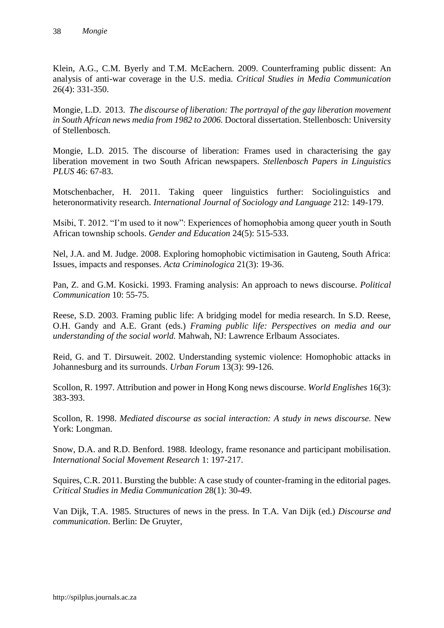Klein, A.G., C.M. Byerly and T.M. McEachern. 2009. Counterframing public dissent: An analysis of anti-war coverage in the U.S. media. *Critical Studies in Media Communication*  26(4): 331-350.

Mongie, L.D. 2013. *The discourse of liberation: The portrayal of the gay liberation movement in South African news media from 1982 to 2006.* Doctoral dissertation. Stellenbosch: University of Stellenbosch.

Mongie, L.D. 2015. The discourse of liberation: Frames used in characterising the gay liberation movement in two South African newspapers. *Stellenbosch Papers in Linguistics PLUS* 46: 67-83.

Motschenbacher, H. 2011. Taking queer linguistics further: Sociolinguistics and heteronormativity research. *International Journal of Sociology and Language* 212: 149-179.

Msibi, T. 2012. "I'm used to it now": Experiences of homophobia among queer youth in South African township schools. *Gender and Education* 24(5): 515-533.

Nel, J.A. and M. Judge. 2008. Exploring homophobic victimisation in Gauteng, South Africa: Issues, impacts and responses. *Acta Criminologica* 21(3): 19-36.

Pan, Z. and G.M. Kosicki. 1993. Framing analysis: An approach to news discourse. *Political Communication* 10: 55-75.

Reese, S.D. 2003. Framing public life: A bridging model for media research. In S.D. Reese, O.H. Gandy and A.E. Grant (eds.) *Framing public life: Perspectives on media and our understanding of the social world.* Mahwah, NJ: Lawrence Erlbaum Associates.

Reid, G. and T. Dirsuweit. 2002. Understanding systemic violence: Homophobic attacks in Johannesburg and its surrounds. *Urban Forum* 13(3): 99-126.

Scollon, R. 1997. Attribution and power in Hong Kong news discourse. *World Englishes* 16(3): 383-393.

Scollon, R. 1998. *Mediated discourse as social interaction: A study in news discourse.* New York: Longman.

Snow, D.A. and R.D. Benford. 1988. Ideology, frame resonance and participant mobilisation. *International Social Movement Research* 1: 197-217.

Squires, C.R. 2011. Bursting the bubble: A case study of counter-framing in the editorial pages. *Critical Studies in Media Communication* 28(1): 30-49.

Van Dijk, T.A. 1985. Structures of news in the press. In T.A. Van Dijk (ed.) *Discourse and communication*. Berlin: De Gruyter,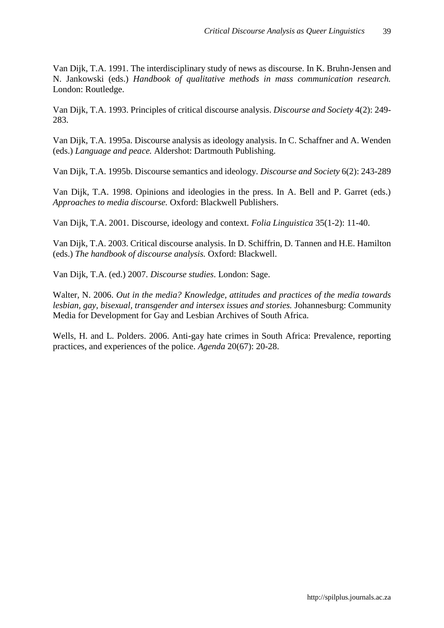Van Dijk, T.A. 1991. The interdisciplinary study of news as discourse. In K. Bruhn-Jensen and N. Jankowski (eds.) *Handbook of qualitative methods in mass communication research.*  London: Routledge.

Van Dijk, T.A. 1993. Principles of critical discourse analysis. *Discourse and Society* 4(2): 249- 283.

Van Dijk, T.A. 1995a. Discourse analysis as ideology analysis. In C. Schaffner and A. Wenden (eds.) *Language and peace.* Aldershot: Dartmouth Publishing.

Van Dijk, T.A. 1995b. Discourse semantics and ideology. *Discourse and Society* 6(2): 243-289

Van Dijk, T.A. 1998. Opinions and ideologies in the press. In A. Bell and P. Garret (eds.) *Approaches to media discourse.* Oxford: Blackwell Publishers.

Van Dijk, T.A. 2001. Discourse, ideology and context. *Folia Linguistica* 35(1-2): 11-40.

Van Dijk, T.A. 2003. Critical discourse analysis. In D. Schiffrin, D. Tannen and H.E. Hamilton (eds.) *The handbook of discourse analysis.* Oxford: Blackwell.

Van Dijk, T.A. (ed.) 2007. *Discourse studies*. London: Sage.

Walter, N. 2006. *Out in the media? Knowledge, attitudes and practices of the media towards lesbian, gay, bisexual, transgender and intersex issues and stories.* Johannesburg: Community Media for Development for Gay and Lesbian Archives of South Africa.

Wells, H. and L. Polders. 2006. Anti-gay hate crimes in South Africa: Prevalence, reporting practices, and experiences of the police. *Agenda* 20(67): 20-28.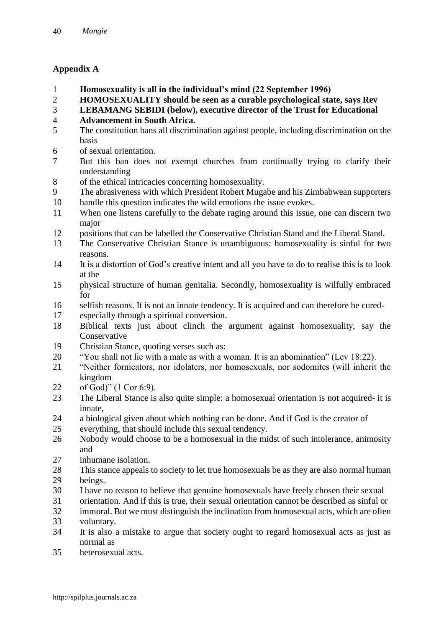# **Appendix A**

- **Homosexuality is all in the individual's mind (22 September 1996)**
- **HOMOSEXUALITY should be seen as a curable psychological state, says Rev**
- **LEBAMANG SEBIDI (below), executive director of the Trust for Educational**
- **Advancement in South Africa.**
- The constitution bans all discrimination against people, including discrimination on the basis
- of sexual orientation.
- But this ban does not exempt churches from continually trying to clarify their understanding
- of the ethical intricacies concerning homosexuality.
- The abrasiveness with which President Robert Mugabe and his Zimbabwean supporters
- handle this question indicates the wild emotions the issue evokes.
- When one listens carefully to the debate raging around this issue, one can discern two major
- positions that can be labelled the Conservative Christian Stand and the Liberal Stand.
- The Conservative Christian Stance is unambiguous: homosexuality is sinful for two reasons.
- It is a distortion of God's creative intent and all you have to do to realise this is to look at the
- physical structure of human genitalia. Secondly, homosexuality is wilfully embraced for
- selfish reasons. It is not an innate tendency. It is acquired and can therefore be cured-
- especially through a spiritual conversion.
- Biblical texts just about clinch the argument against homosexuality, say the **Conservative**
- Christian Stance, quoting verses such as:
- "You shall not lie with a male as with a woman. It is an abomination" (Lev 18:22).
- "Neither fornicators, nor idolaters, nor homosexuals, nor sodomites (will inherit the kingdom
- of God)" (1 Cor 6:9).
- The Liberal Stance is also quite simple: a homosexual orientation is not acquired- it is innate,
- a biological given about which nothing can be done. And if God is the creator of
- everything, that should include this sexual tendency.
- Nobody would choose to be a homosexual in the midst of such intolerance, animosity and
- inhumane isolation.
- This stance appeals to society to let true homosexuals be as they are also normal human beings.
- I have no reason to believe that genuine homosexuals have freely chosen their sexual
- orientation. And if this is true, their sexual orientation cannot be described as sinful or
- immoral. But we must distinguish the inclination from homosexual acts, which are often voluntary.
- It is also a mistake to argue that society ought to regard homosexual acts as just as normal as
- heterosexual acts.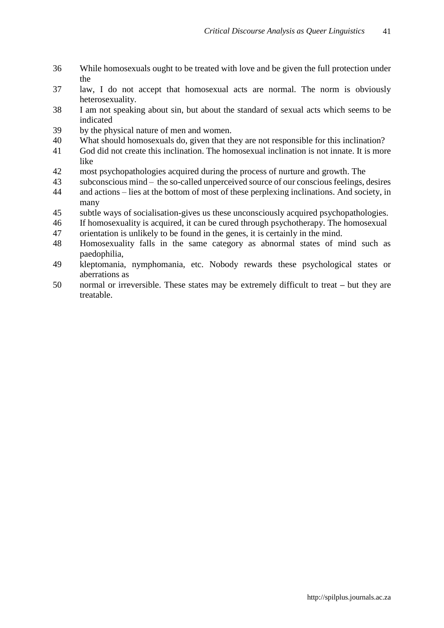- While homosexuals ought to be treated with love and be given the full protection under the
- law, I do not accept that homosexual acts are normal. The norm is obviously heterosexuality.
- I am not speaking about sin, but about the standard of sexual acts which seems to be indicated
- by the physical nature of men and women.
- What should homosexuals do, given that they are not responsible for this inclination?
- God did not create this inclination. The homosexual inclination is not innate. It is more like
- most psychopathologies acquired during the process of nurture and growth. The
- subconscious mind the so-called unperceived source of our conscious feelings, desires
- and actions lies at the bottom of most of these perplexing inclinations. And society, in many
- subtle ways of socialisation-gives us these unconsciously acquired psychopathologies.
- If homosexuality is acquired, it can be cured through psychotherapy. The homosexual
- orientation is unlikely to be found in the genes, it is certainly in the mind.
- Homosexuality falls in the same category as abnormal states of mind such as paedophilia,
- kleptomania, nymphomania, etc. Nobody rewards these psychological states or aberrations as
- normal or irreversible. These states may be extremely difficult to treat **–** but they are treatable.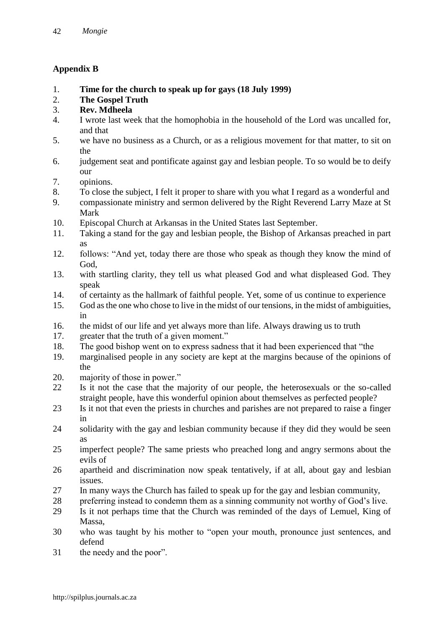# **Appendix B**

- 1. **Time for the church to speak up for gays (18 July 1999)**
- 2. **The Gospel Truth**
- 3. **Rev. Mdheela**
- 4. I wrote last week that the homophobia in the household of the Lord was uncalled for, and that
- 5. we have no business as a Church, or as a religious movement for that matter, to sit on the
- 6. judgement seat and pontificate against gay and lesbian people. To so would be to deify our
- 7. opinions.
- 8. To close the subject, I felt it proper to share with you what I regard as a wonderful and
- 9. compassionate ministry and sermon delivered by the Right Reverend Larry Maze at St Mark
- 10. Episcopal Church at Arkansas in the United States last September.
- 11. Taking a stand for the gay and lesbian people, the Bishop of Arkansas preached in part as
- 12. follows: "And yet, today there are those who speak as though they know the mind of God,
- 13. with startling clarity, they tell us what pleased God and what displeased God. They speak
- 14. of certainty as the hallmark of faithful people. Yet, some of us continue to experience
- 15. God as the one who chose to live in the midst of our tensions, in the midst of ambiguities, in
- 16. the midst of our life and yet always more than life. Always drawing us to truth
- 17. greater that the truth of a given moment."
- 18. The good bishop went on to express sadness that it had been experienced that "the
- 19. marginalised people in any society are kept at the margins because of the opinions of the
- 20. majority of those in power."
- 22 Is it not the case that the majority of our people, the heterosexuals or the so-called straight people, have this wonderful opinion about themselves as perfected people?
- 23 Is it not that even the priests in churches and parishes are not prepared to raise a finger in
- 24 solidarity with the gay and lesbian community because if they did they would be seen as
- 25 imperfect people? The same priests who preached long and angry sermons about the evils of
- 26 apartheid and discrimination now speak tentatively, if at all, about gay and lesbian issues.
- 27 In many ways the Church has failed to speak up for the gay and lesbian community,
- 28 preferring instead to condemn them as a sinning community not worthy of God's live.
- 29 Is it not perhaps time that the Church was reminded of the days of Lemuel, King of Massa,
- 30 who was taught by his mother to "open your mouth, pronounce just sentences, and defend
- 31 the needy and the poor".